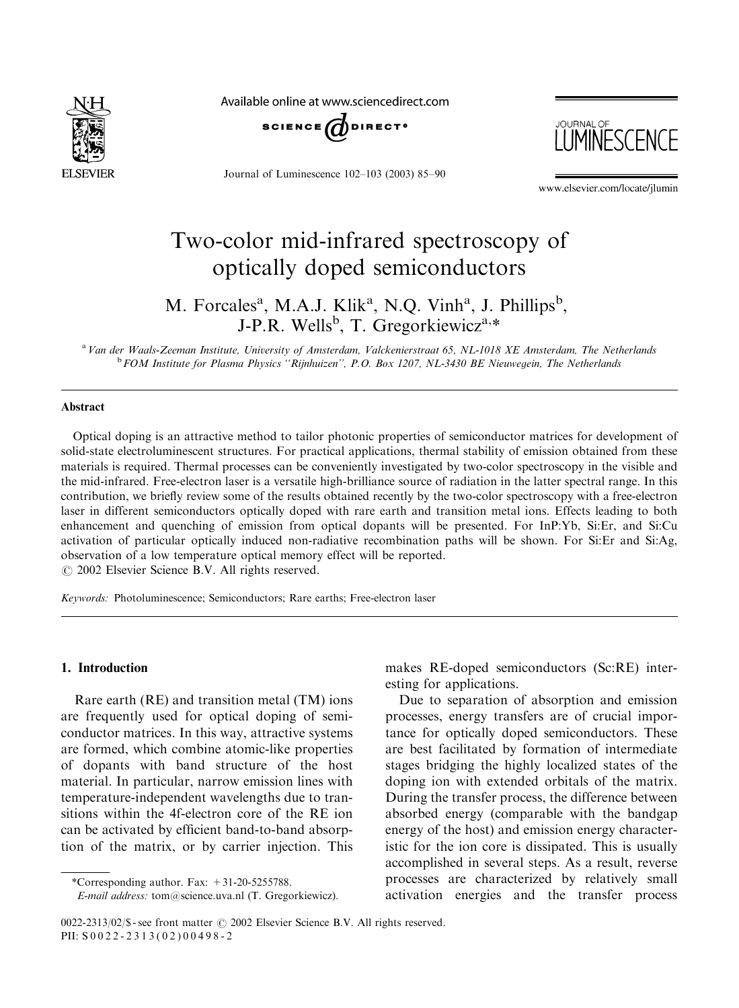

Available online at www.sciencedirect.com



Journal of Luminescence 102–103 (2003) 85–90



www.elsevier.com/locate/jlumin

# Two-color mid-infrared spectroscopy of optically doped semiconductors

M. Forcales<sup>a</sup>, M.A.J. Klik<sup>a</sup>, N.Q. Vinh<sup>a</sup>, J. Phillips<sup>b</sup>, J-P.R. Wells<sup>b</sup>, T. Gregorkiewicz<sup>a,\*</sup>

<sup>a</sup> Van der Waals-Zeeman Institute, University of Amsterdam, Valckenierstraat 65, NL-1018 XE Amsterdam, The Netherlands <sup>b</sup> FOM Institute for Plasma Physics "Rijnhuizen", P.O. Box 1207, NL-3430 BE Nieuwegein, The Netherlands

#### Abstract

Optical doping is an attractive method to tailor photonic properties of semiconductor matrices for development of solid-state electroluminescent structures. For practical applications, thermal stability of emission obtained from these materials is required. Thermal processes can be conveniently investigated by two-color spectroscopy in the visible and the mid-infrared. Free-electron laser is a versatile high-brilliance source of radiation in the latter spectral range. In this contribution, we briefly review some of the results obtained recently by the two-color spectroscopy with a free-electron laser in different semiconductors optically doped with rare earth and transition metal ions. Effects leading to both enhancement and quenching of emission from optical dopants will be presented. For InP:Yb, Si:Er, and Si:Cu activation of particular optically induced non-radiative recombination paths will be shown. For Si:Er and Si:Ag, observation of a low temperature optical memory effect will be reported.

 $\odot$  2002 Elsevier Science B.V. All rights reserved.

Keywords: Photoluminescence; Semiconductors; Rare earths; Free-electron laser

#### 1. Introduction

Rare earth (RE) and transition metal (TM) ions are frequently used for optical doping of semiconductor matrices. In this way, attractive systems are formed, which combine atomic-like properties of dopants with band structure of the host material. In particular, narrow emission lines with temperature-independent wavelengths due to transitions within the 4f-electron core of the RE ion can be activated by efficient band-to-band absorption of the matrix, or by carrier injection. This

makes RE-doped semiconductors (Sc:RE) interesting for applications.

Due to separation of absorption and emission processes, energy transfers are of crucial importance for optically doped semiconductors. These are best facilitated by formation of intermediate stages bridging the highly localized states of the doping ion with extended orbitals of the matrix. During the transfer process, the difference between absorbed energy (comparable with the bandgap energy of the host) and emission energy characteristic for the ion core is dissipated. This is usually accomplished in several steps. As a result, reverse processes are characterized by relatively small activation energies and the transfer process

<sup>\*</sup>Corresponding author. Fax: +31-20-5255788.

E-mail address: tom@science.uva.nl (T. Gregorkiewicz).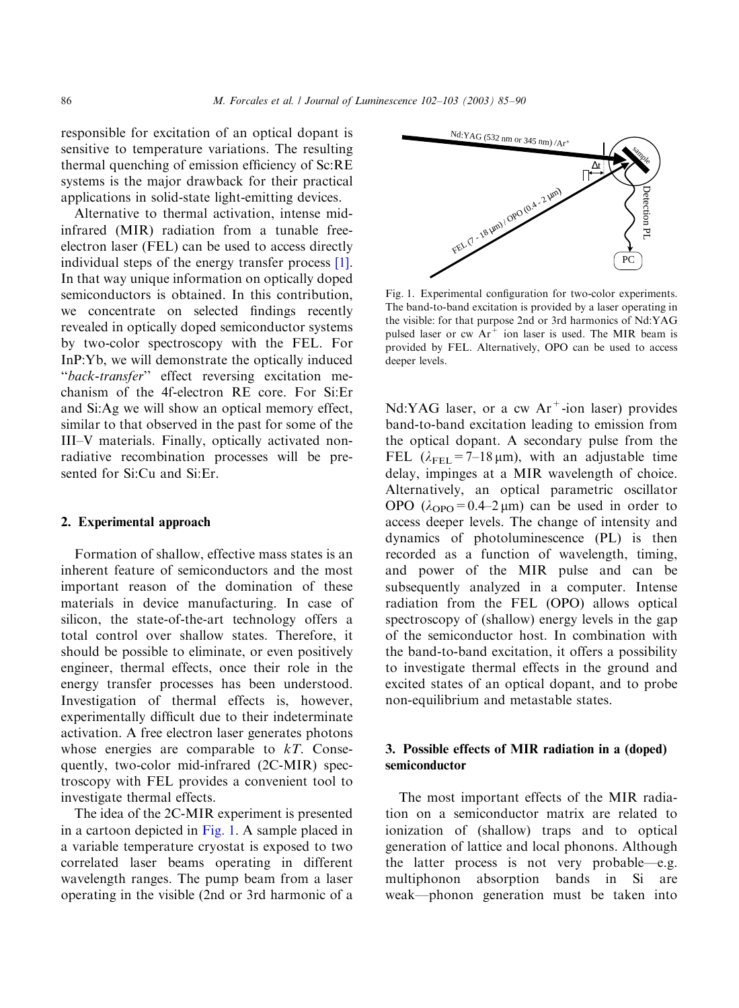responsible for excitation of an optical dopant is sensitive to temperature variations. The resulting thermal quenching of emission efficiency of Sc:RE systems is the major drawback for their practical applications in solid-state light-emitting devices.

Alternative to thermal activation, intense midinfrared (MIR) radiation from a tunable freeelectron laser (FEL) can be used to access directly individual steps of the energy transfer process [\[1\]](#page-5-0). In that way unique information on optically doped semiconductors is obtained. In this contribution, we concentrate on selected findings recently revealed in optically doped semiconductor systems by two-color spectroscopy with the FEL. For InP:Yb, we will demonstrate the optically induced "back-transfer" effect reversing excitation mechanism of the 4f-electron RE core. For Si:Er and Si:Ag we will show an optical memory effect, similar to that observed in the past for some of the III–V materials. Finally, optically activated nonradiative recombination processes will be presented for Si:Cu and Si:Er.

## 2. Experimental approach

Formation of shallow, effective mass states is an inherent feature of semiconductors and the most important reason of the domination of these materials in device manufacturing. In case of silicon, the state-of-the-art technology offers a total control over shallow states. Therefore, it should be possible to eliminate, or even positively engineer, thermal effects, once their role in the energy transfer processes has been understood. Investigation of thermal effects is, however, experimentally difficult due to their indeterminate activation. A free electron laser generates photons whose energies are comparable to  $kT$ . Consequently, two-color mid-infrared (2C-MIR) spectroscopy with FEL provides a convenient tool to investigate thermal effects.

The idea of the 2C-MIR experiment is presented in a cartoon depicted in Fig. 1. A sample placed in a variable temperature cryostat is exposed to two correlated laser beams operating in different wavelength ranges. The pump beam from a laser operating in the visible (2nd or 3rd harmonic of a



Fig. 1. Experimental configuration for two-color experiments. The band-to-band excitation is provided by a laser operating in the visible: for that purpose 2nd or 3rd harmonics of Nd:YAG pulsed laser or  $cw$  Ar<sup>+</sup> ion laser is used. The MIR beam is provided by FEL. Alternatively, OPO can be used to access deeper levels.

Nd:YAG laser, or a cw  $Ar^+$ -ion laser) provides band-to-band excitation leading to emission from the optical dopant. A secondary pulse from the FEL  $(\lambda_{\text{FEL}}=7-18 \,\mu\text{m})$ , with an adjustable time delay, impinges at a MIR wavelength of choice. Alternatively, an optical parametric oscillator OPO  $(\lambda_{\text{OPO}}=0.4-2 \,\mu\text{m})$  can be used in order to access deeper levels. The change of intensity and dynamics of photoluminescence (PL) is then recorded as a function of wavelength, timing, and power of the MIR pulse and can be subsequently analyzed in a computer. Intense radiation from the FEL (OPO) allows optical spectroscopy of (shallow) energy levels in the gap of the semiconductor host. In combination with the band-to-band excitation, it offers a possibility to investigate thermal effects in the ground and excited states of an optical dopant, and to probe non-equilibrium and metastable states.

# 3. Possible effects of MIR radiation in a (doped) semiconductor

The most important effects of the MIR radiation on a semiconductor matrix are related to ionization of (shallow) traps and to optical generation of lattice and local phonons. Although the latter process is not very probable—e.g. multiphonon absorption bands in Si are weak—phonon generation must be taken into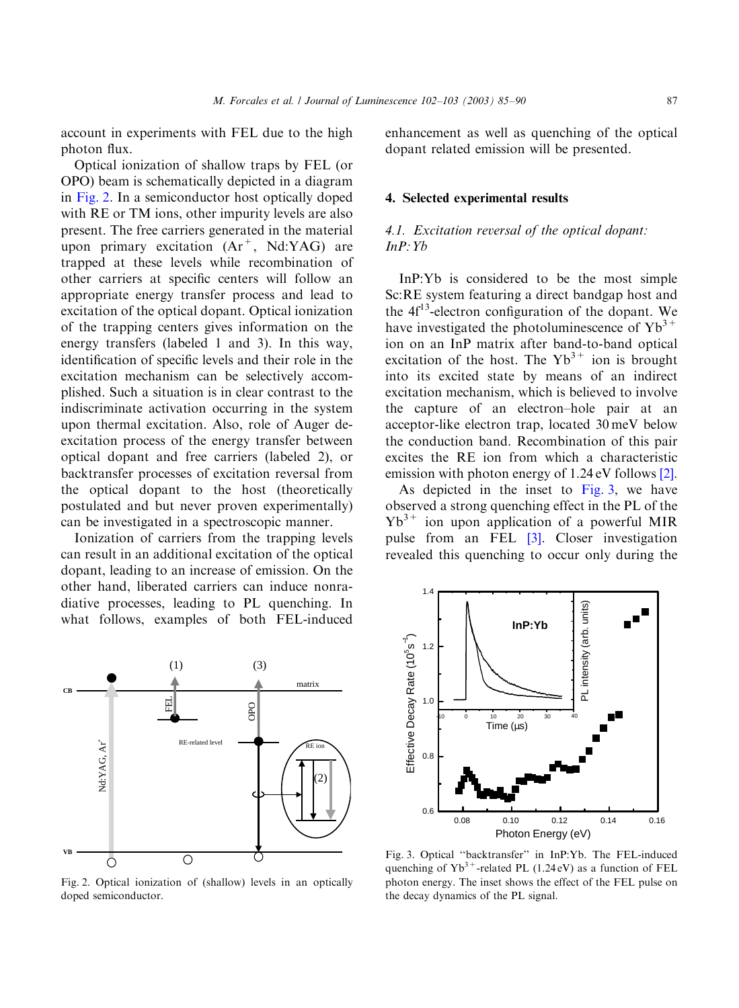<span id="page-2-0"></span>account in experiments with FEL due to the high photon flux.

Optical ionization of shallow traps by FEL (or OPO) beam is schematically depicted in a diagram in Fig. 2. In a semiconductor host optically doped with RE or TM ions, other impurity levels are also present. The free carriers generated in the material upon primary excitation  $(Ar^+$ , Nd:YAG) are trapped at these levels while recombination of other carriers at specific centers will follow an appropriate energy transfer process and lead to excitation of the optical dopant. Optical ionization of the trapping centers gives information on the energy transfers (labeled 1 and 3). In this way, identification of specific levels and their role in the excitation mechanism can be selectively accomplished. Such a situation is in clear contrast to the indiscriminate activation occurring in the system upon thermal excitation. Also, role of Auger deexcitation process of the energy transfer between optical dopant and free carriers (labeled 2), or backtransfer processes of excitation reversal from the optical dopant to the host (theoretically postulated and but never proven experimentally) can be investigated in a spectroscopic manner.

Ionization of carriers from the trapping levels can result in an additional excitation of the optical dopant, leading to an increase of emission. On the other hand, liberated carriers can induce nonradiative processes, leading to PL quenching. In what follows, examples of both FEL-induced



Fig. 2. Optical ionization of (shallow) levels in an optically doped semiconductor.

enhancement as well as quenching of the optical dopant related emission will be presented.

#### 4. Selected experimental results

# 4.1. Excitation reversal of the optical dopant:  $InP:Yb$

InP:Yb is considered to be the most simple Sc:RE system featuring a direct bandgap host and the  $4f<sup>13</sup>$ -electron configuration of the dopant. We have investigated the photoluminescence of  $Yb^{3+}$ ion on an InP matrix after band-to-band optical excitation of the host. The  $Yb^{3+}$  ion is brought into its excited state by means of an indirect excitation mechanism, which is believed to involve the capture of an electron–hole pair at an acceptor-like electron trap, located 30 meV below the conduction band. Recombination of this pair excites the RE ion from which a characteristic emission with photon energy of 1.24 eV follows [\[2\]](#page-5-0).

As depicted in the inset to Fig. 3, we have observed a strong quenching effect in the PL of the  $Yb^{3+}$  ion upon application of a powerful MIR pulse from an FEL [\[3\].](#page-5-0) Closer investigation revealed this quenching to occur only during the



Fig. 3. Optical ''backtransfer'' in InP:Yb. The FEL-induced quenching of  $Yb^{3+}$ -related PL (1.24 eV) as a function of FEL photon energy. The inset shows the effect of the FEL pulse on the decay dynamics of the PL signal.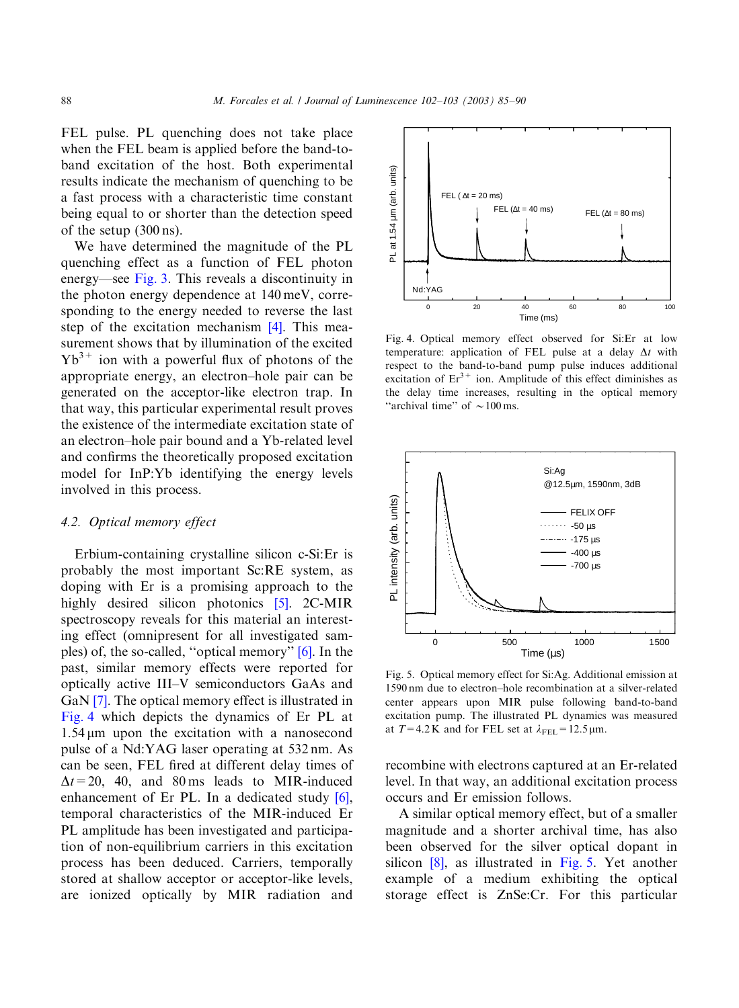FEL pulse. PL quenching does not take place when the FEL beam is applied before the band-toband excitation of the host. Both experimental results indicate the mechanism of quenching to be a fast process with a characteristic time constant being equal to or shorter than the detection speed of the setup (300 ns).

We have determined the magnitude of the PL quenching effect as a function of FEL photon energy—see [Fig. 3](#page-2-0). This reveals a discontinuity in the photon energy dependence at 140 meV, corresponding to the energy needed to reverse the last step of the excitation mechanism [\[4\]](#page-5-0). This measurement shows that by illumination of the excited  $Yb^{3+}$  ion with a powerful flux of photons of the appropriate energy, an electron–hole pair can be generated on the acceptor-like electron trap. In that way, this particular experimental result proves the existence of the intermediate excitation state of an electron–hole pair bound and a Yb-related level and confirms the theoretically proposed excitation model for InP:Yb identifying the energy levels involved in this process.

#### 4.2. Optical memory effect

Erbium-containing crystalline silicon c-Si:Er is probably the most important Sc:RE system, as doping with Er is a promising approach to the highly desired silicon photonics [\[5\].](#page-5-0) 2C-MIR spectroscopy reveals for this material an interesting effect (omnipresent for all investigated samples) of, the so-called, ''optical memory'' [\[6\].](#page-5-0) In the past, similar memory effects were reported for optically active III–V semiconductors GaAs and GaN [\[7\]](#page-5-0). The optical memory effect is illustrated in Fig. 4 which depicts the dynamics of Er PL at  $1.54 \,\mu m$  upon the excitation with a nanosecond pulse of a Nd:YAG laser operating at 532 nm. As can be seen, FEL fired at different delay times of  $\Delta t = 20$ , 40, and 80 ms leads to MIR-induced enhancement of Er PL. In a dedicated study [\[6\]](#page-5-0), temporal characteristics of the MIR-induced Er PL amplitude has been investigated and participation of non-equilibrium carriers in this excitation process has been deduced. Carriers, temporally stored at shallow acceptor or acceptor-like levels, are ionized optically by MIR radiation and



Fig. 4. Optical memory effect observed for Si:Er at low temperature: application of FEL pulse at a delay  $\Delta t$  with respect to the band-to-band pump pulse induces additional excitation of  $Er<sup>3+</sup>$  ion. Amplitude of this effect diminishes as the delay time increases, resulting in the optical memory "archival time" of  $\sim$  100 ms.



Fig. 5. Optical memory effect for Si:Ag. Additional emission at 1590 nm due to electron–hole recombination at a silver-related center appears upon MIR pulse following band-to-band excitation pump. The illustrated PL dynamics was measured at  $T=4.2$  K and for FEL set at  $\lambda_{\text{FEL}}=12.5$  µm.

recombine with electrons captured at an Er-related level. In that way, an additional excitation process occurs and Er emission follows.

A similar optical memory effect, but of a smaller magnitude and a shorter archival time, has also been observed for the silver optical dopant in silicon [\[8\]](#page-5-0), as illustrated in Fig. 5. Yet another example of a medium exhibiting the optical storage effect is ZnSe:Cr. For this particular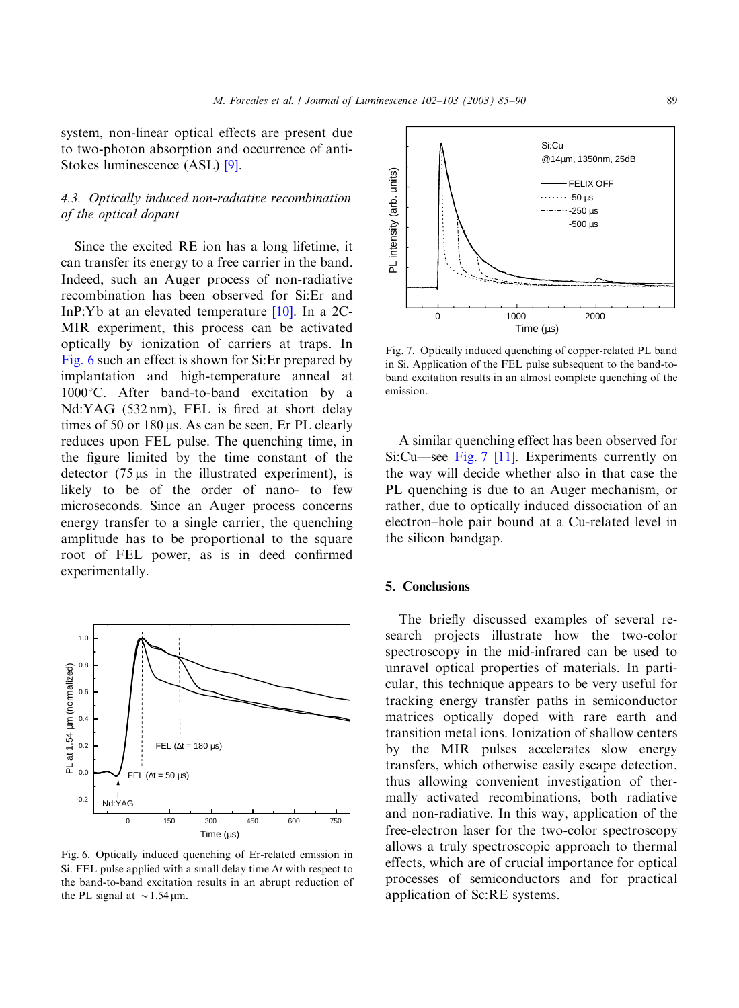system, non-linear optical effects are present due to two-photon absorption and occurrence of anti-Stokes luminescence (ASL) [\[9\].](#page-5-0)

# 4.3. Optically induced non-radiative recombination of the optical dopant

Since the excited RE ion has a long lifetime, it can transfer its energy to a free carrier in the band. Indeed, such an Auger process of non-radiative recombination has been observed for Si:Er and InP:Yb at an elevated temperature [\[10\].](#page-5-0) In a 2C-MIR experiment, this process can be activated optically by ionization of carriers at traps. In Fig. 6 such an effect is shown for Si:Er prepared by implantation and high-temperature anneal at  $1000^{\circ}$ C. After band-to-band excitation by a Nd:YAG (532 nm), FEL is fired at short delay times of 50 or 180  $\mu$ s. As can be seen, Er PL clearly reduces upon FEL pulse. The quenching time, in the figure limited by the time constant of the detector  $(75 \,\mu s)$  in the illustrated experiment), is likely to be of the order of nano- to few microseconds. Since an Auger process concerns energy transfer to a single carrier, the quenching amplitude has to be proportional to the square root of FEL power, as is in deed confirmed experimentally.



Fig. 6. Optically induced quenching of Er-related emission in Si. FEL pulse applied with a small delay time  $\Delta t$  with respect to the band-to-band excitation results in an abrupt reduction of the PL signal at  $\sim$  1.54 µm.



Fig. 7. Optically induced quenching of copper-related PL band in Si. Application of the FEL pulse subsequent to the band-toband excitation results in an almost complete quenching of the emission.

A similar quenching effect has been observed for Si:Cu—see Fig. 7 [\[11\]](#page-5-0). Experiments currently on the way will decide whether also in that case the PL quenching is due to an Auger mechanism, or rather, due to optically induced dissociation of an electron–hole pair bound at a Cu-related level in the silicon bandgap.

### 5. Conclusions

The briefly discussed examples of several research projects illustrate how the two-color spectroscopy in the mid-infrared can be used to unravel optical properties of materials. In particular, this technique appears to be very useful for tracking energy transfer paths in semiconductor matrices optically doped with rare earth and transition metal ions. Ionization of shallow centers by the MIR pulses accelerates slow energy transfers, which otherwise easily escape detection, thus allowing convenient investigation of thermally activated recombinations, both radiative and non-radiative. In this way, application of the free-electron laser for the two-color spectroscopy allows a truly spectroscopic approach to thermal effects, which are of crucial importance for optical processes of semiconductors and for practical application of Sc:RE systems.